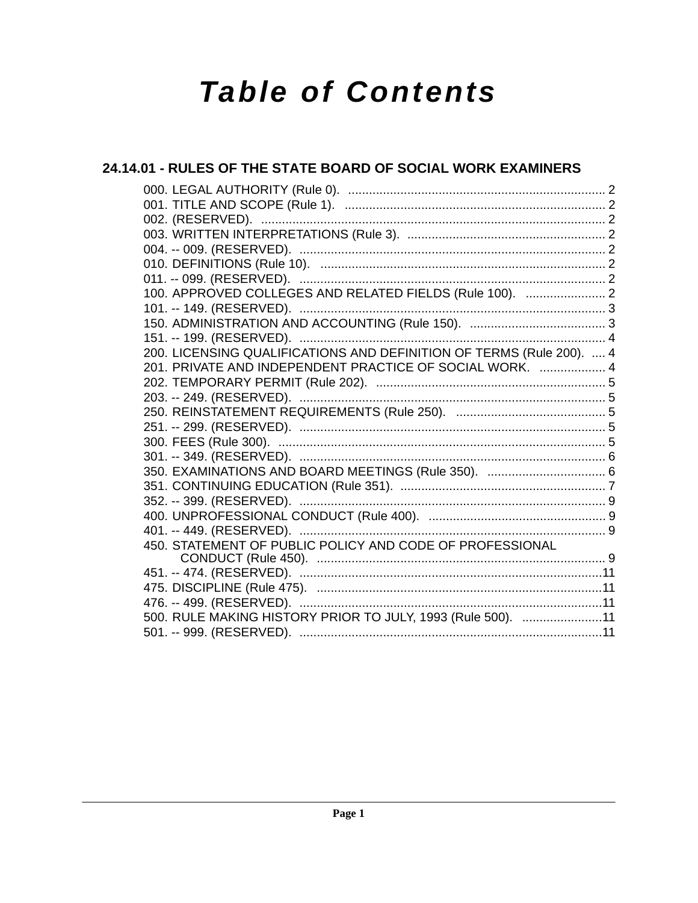# **Table of Contents**

## 24.14.01 - RULES OF THE STATE BOARD OF SOCIAL WORK EXAMINERS

| 100. APPROVED COLLEGES AND RELATED FIELDS (Rule 100).  2             |  |
|----------------------------------------------------------------------|--|
|                                                                      |  |
|                                                                      |  |
|                                                                      |  |
| 200. LICENSING QUALIFICATIONS AND DEFINITION OF TERMS (Rule 200).  4 |  |
| 201. PRIVATE AND INDEPENDENT PRACTICE OF SOCIAL WORK.  4             |  |
|                                                                      |  |
|                                                                      |  |
|                                                                      |  |
|                                                                      |  |
|                                                                      |  |
|                                                                      |  |
|                                                                      |  |
|                                                                      |  |
|                                                                      |  |
|                                                                      |  |
|                                                                      |  |
| 450. STATEMENT OF PUBLIC POLICY AND CODE OF PROFESSIONAL             |  |
|                                                                      |  |
|                                                                      |  |
|                                                                      |  |
| 500. RULE MAKING HISTORY PRIOR TO JULY, 1993 (Rule 500). 11          |  |
|                                                                      |  |
|                                                                      |  |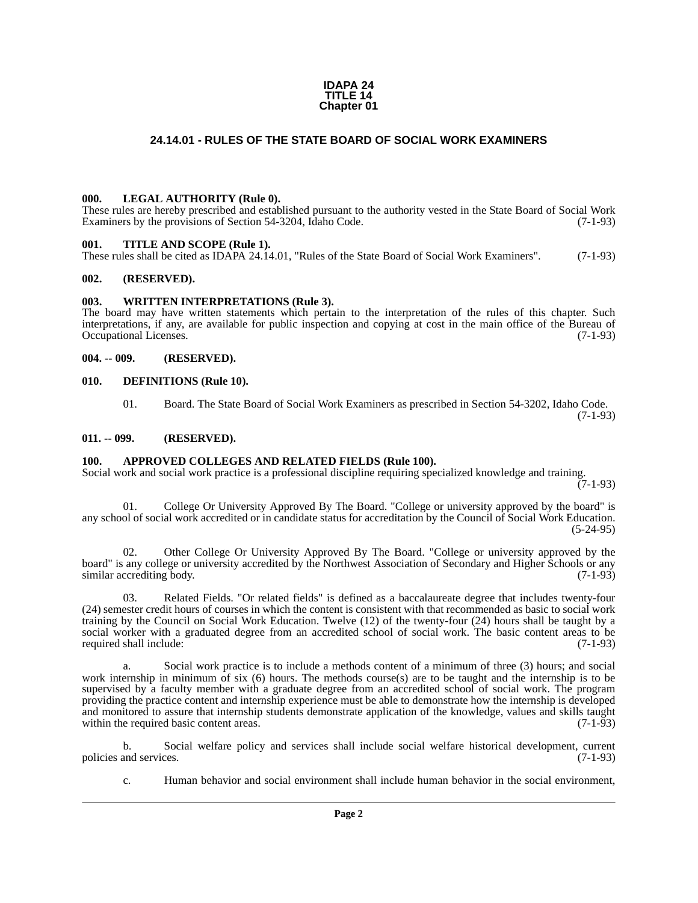#### **IDAPA 24 TITLE 14 Chapter 01**

#### **24.14.01 - RULES OF THE STATE BOARD OF SOCIAL WORK EXAMINERS**

#### <span id="page-1-1"></span><span id="page-1-0"></span>**000. LEGAL AUTHORITY (Rule 0).**

These rules are hereby prescribed and established pursuant to the authority vested in the State Board of Social Work Examiners by the provisions of Section 54-3204, Idaho Code. (7-1-93)

#### <span id="page-1-2"></span>**001. TITLE AND SCOPE (Rule 1).**

These rules shall be cited as IDAPA 24.14.01, "Rules of the State Board of Social Work Examiners". (7-1-93)

#### <span id="page-1-3"></span>**002. (RESERVED).**

#### <span id="page-1-4"></span>**003. WRITTEN INTERPRETATIONS (Rule 3).**

The board may have written statements which pertain to the interpretation of the rules of this chapter. Such interpretations, if any, are available for public inspection and copying at cost in the main office of the Bureau of Occupational Licenses. (7-1-93)

#### <span id="page-1-5"></span>**004. -- 009. (RESERVED).**

#### <span id="page-1-6"></span>**010. DEFINITIONS (Rule 10).**

01. Board. The State Board of Social Work Examiners as prescribed in Section 54-3202, Idaho Code. (7-1-93)

#### <span id="page-1-7"></span>**011. -- 099. (RESERVED).**

#### <span id="page-1-8"></span>**100. APPROVED COLLEGES AND RELATED FIELDS (Rule 100).**

Social work and social work practice is a professional discipline requiring specialized knowledge and training.  $(7-1-93)$ 

01. College Or University Approved By The Board. "College or university approved by the board" is any school of social work accredited or in candidate status for accreditation by the Council of Social Work Education. (5-24-95)

02. Other College Or University Approved By The Board. "College or university approved by the board" is any college or university accredited by the Northwest Association of Secondary and Higher Schools or any similar accrediting body. (7-1-93) similar accrediting body.

Related Fields. "Or related fields" is defined as a baccalaureate degree that includes twenty-four (24) semester credit hours of courses in which the content is consistent with that recommended as basic to social work training by the Council on Social Work Education. Twelve (12) of the twenty-four (24) hours shall be taught by a social worker with a graduated degree from an accredited school of social work. The basic content areas to be required shall include: (7-1-93)

a. Social work practice is to include a methods content of a minimum of three (3) hours; and social work internship in minimum of six (6) hours. The methods course(s) are to be taught and the internship is to be supervised by a faculty member with a graduate degree from an accredited school of social work. The program providing the practice content and internship experience must be able to demonstrate how the internship is developed and monitored to assure that internship students demonstrate application of the knowledge, values and skills taught within the required basic content areas. within the required basic content areas.

b. Social welfare policy and services shall include social welfare historical development, current and services. (7-1-93) policies and services.

c. Human behavior and social environment shall include human behavior in the social environment,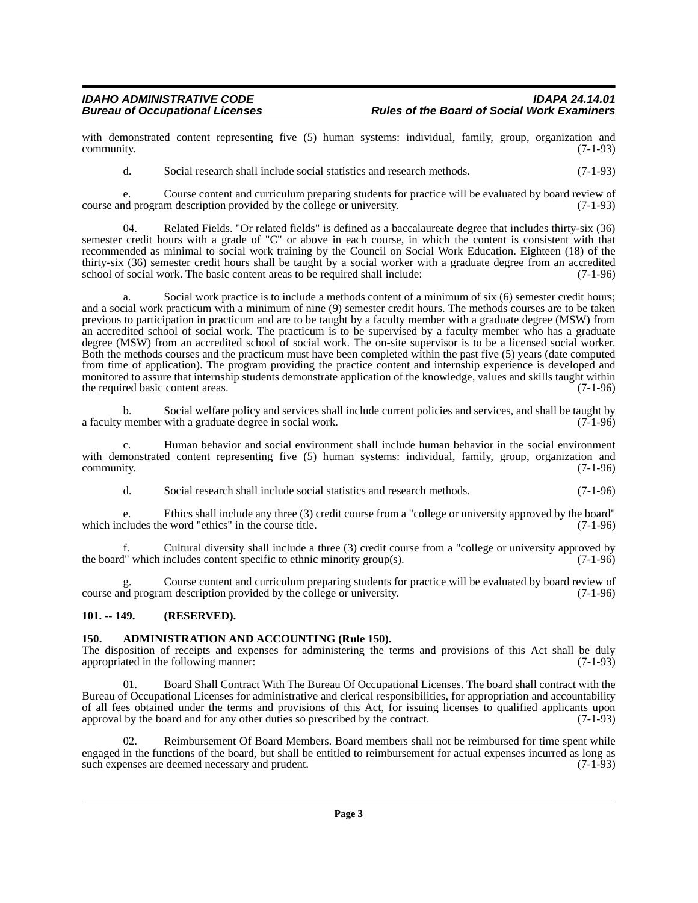with demonstrated content representing five (5) human systems: individual, family, group, organization and community. (7-1-93) community. (7-1-93)

d. Social research shall include social statistics and research methods. (7-1-93)

e. Course content and curriculum preparing students for practice will be evaluated by board review of nd program description provided by the college or university. (7-1-93) course and program description provided by the college or university.

04. Related Fields. "Or related fields" is defined as a baccalaureate degree that includes thirty-six (36) semester credit hours with a grade of "C" or above in each course, in which the content is consistent with that recommended as minimal to social work training by the Council on Social Work Education. Eighteen (18) of the thirty-six (36) semester credit hours shall be taught by a social worker with a graduate degree from an accredited school of social work. The basic content areas to be required shall include: (7-1-96) school of social work. The basic content areas to be required shall include:

a. Social work practice is to include a methods content of a minimum of six (6) semester credit hours; and a social work practicum with a minimum of nine (9) semester credit hours. The methods courses are to be taken previous to participation in practicum and are to be taught by a faculty member with a graduate degree (MSW) from an accredited school of social work. The practicum is to be supervised by a faculty member who has a graduate degree (MSW) from an accredited school of social work. The on-site supervisor is to be a licensed social worker. Both the methods courses and the practicum must have been completed within the past five (5) years (date computed from time of application). The program providing the practice content and internship experience is developed and monitored to assure that internship students demonstrate application of the knowledge, values and skills taught within the required basic content areas. (7-1-96) the required basic content areas.

b. Social welfare policy and services shall include current policies and services, and shall be taught by member with a graduate degree in social work. (7-1-96) a faculty member with a graduate degree in social work.

c. Human behavior and social environment shall include human behavior in the social environment with demonstrated content representing five (5) human systems: individual, family, group, organization and community. (7-1-96) community. (7-1-96)

d. Social research shall include social statistics and research methods. (7-1-96)

e. Ethics shall include any three (3) credit course from a "college or university approved by the board" which includes the word "ethics" in the course title.

Cultural diversity shall include a three (3) credit course from a "college or university approved by includes content specific to ethnic minority group(s).  $(7-1-96)$ the board" which includes content specific to ethnic minority group(s).

Course content and curriculum preparing students for practice will be evaluated by board review of m description provided by the college or university. (7-1-96) course and program description provided by the college or university.

#### <span id="page-2-0"></span>**101. -- 149. (RESERVED).**

#### <span id="page-2-1"></span>**150. ADMINISTRATION AND ACCOUNTING (Rule 150).**

The disposition of receipts and expenses for administering the terms and provisions of this Act shall be duly appropriated in the following manner:  $(7-1-93)$ appropriated in the following manner:

01. Board Shall Contract With The Bureau Of Occupational Licenses. The board shall contract with the Bureau of Occupational Licenses for administrative and clerical responsibilities, for appropriation and accountability of all fees obtained under the terms and provisions of this Act, for issuing licenses to qualified applicants upon approval by the board and for any other duties so prescribed by the contract. (7-1-93)

02. Reimbursement Of Board Members. Board members shall not be reimbursed for time spent while engaged in the functions of the board, but shall be entitled to reimbursement for actual expenses incurred as long as such expenses are deemed necessary and prudent. (7-1-93) such expenses are deemed necessary and prudent.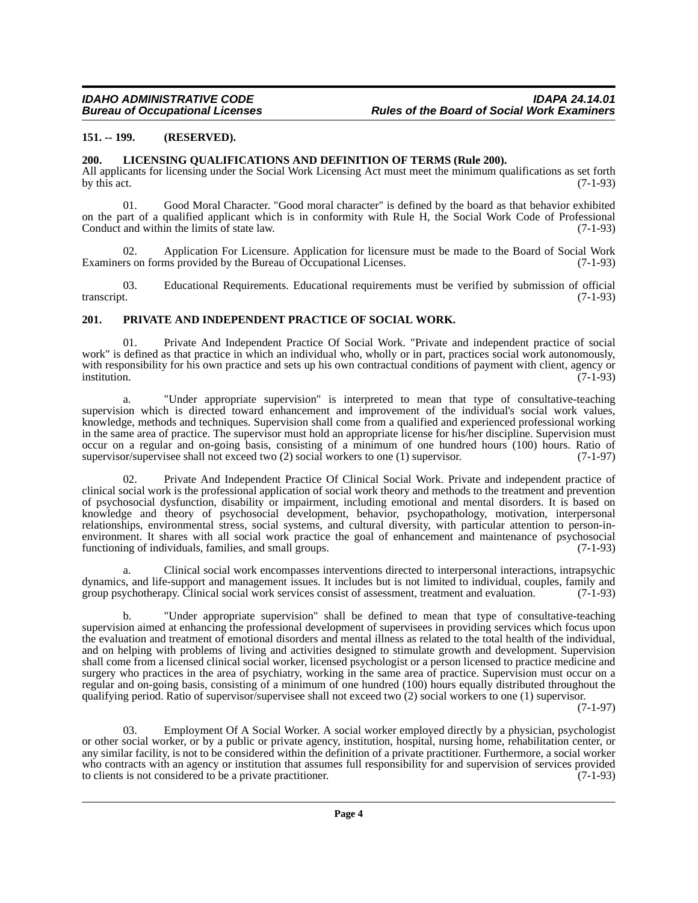#### <span id="page-3-0"></span>**151. -- 199. (RESERVED).**

#### <span id="page-3-1"></span>**200. LICENSING QUALIFICATIONS AND DEFINITION OF TERMS (Rule 200).**

All applicants for licensing under the Social Work Licensing Act must meet the minimum qualifications as set forth by this act.  $(7-1-93)$ 

01. Good Moral Character. "Good moral character" is defined by the board as that behavior exhibited on the part of a qualified applicant which is in conformity with Rule H, the Social Work Code of Professional Conduct and within the limits of state law. (7-1-93)

02. Application For Licensure. Application for licensure must be made to the Board of Social Work rs on forms provided by the Bureau of Occupational Licenses. (7-1-93) Examiners on forms provided by the Bureau of Occupational Licenses.

03. Educational Requirements. Educational requirements must be verified by submission of official transcript. (7-1-93)

#### <span id="page-3-2"></span>**201. PRIVATE AND INDEPENDENT PRACTICE OF SOCIAL WORK.**

01. Private And Independent Practice Of Social Work. "Private and independent practice of social work" is defined as that practice in which an individual who, wholly or in part, practices social work autonomously, with responsibility for his own practice and sets up his own contractual conditions of payment with client, agency or<br>(7-1-93) institution. (7-1-93)

a. "Under appropriate supervision" is interpreted to mean that type of consultative-teaching supervision which is directed toward enhancement and improvement of the individual's social work values, knowledge, methods and techniques. Supervision shall come from a qualified and experienced professional working in the same area of practice. The supervisor must hold an appropriate license for his/her discipline. Supervision must occur on a regular and on-going basis, consisting of a minimum of one hundred hours (100) hours. Ratio of supervisor/supervises shall not exceed two (2) social workers to one (1) supervisor. (7-1-97) supervisor/supervisee shall not exceed two  $(2)$  social workers to one  $(1)$  supervisor.

02. Private And Independent Practice Of Clinical Social Work. Private and independent practice of clinical social work is the professional application of social work theory and methods to the treatment and prevention of psychosocial dysfunction, disability or impairment, including emotional and mental disorders. It is based on knowledge and theory of psychosocial development, behavior, psychopathology, motivation, interpersonal relationships, environmental stress, social systems, and cultural diversity, with particular attention to person-inenvironment. It shares with all social work practice the goal of enhancement and maintenance of psychosocial functioning of individuals, families, and small groups. (7-1-93) functioning of individuals, families, and small groups.

a. Clinical social work encompasses interventions directed to interpersonal interactions, intrapsychic dynamics, and life-support and management issues. It includes but is not limited to individual, couples, family and group psychotherapy. Clinical social work services consist of assessment, treatment and evaluation. (7-1-9 group psychotherapy. Clinical social work services consist of assessment, treatment and evaluation.

b. "Under appropriate supervision" shall be defined to mean that type of consultative-teaching supervision aimed at enhancing the professional development of supervisees in providing services which focus upon the evaluation and treatment of emotional disorders and mental illness as related to the total health of the individual, and on helping with problems of living and activities designed to stimulate growth and development. Supervision shall come from a licensed clinical social worker, licensed psychologist or a person licensed to practice medicine and surgery who practices in the area of psychiatry, working in the same area of practice. Supervision must occur on a regular and on-going basis, consisting of a minimum of one hundred (100) hours equally distributed throughout the qualifying period. Ratio of supervisor/supervisee shall not exceed two (2) social workers to one (1) supervisor.

(7-1-97)

03. Employment Of A Social Worker. A social worker employed directly by a physician, psychologist or other social worker, or by a public or private agency, institution, hospital, nursing home, rehabilitation center, or any similar facility, is not to be considered within the definition of a private practitioner. Furthermore, a social worker who contracts with an agency or institution that assumes full responsibility for and supervision of services provided to clients is not considered to be a private practitioner. to clients is not considered to be a private practitioner.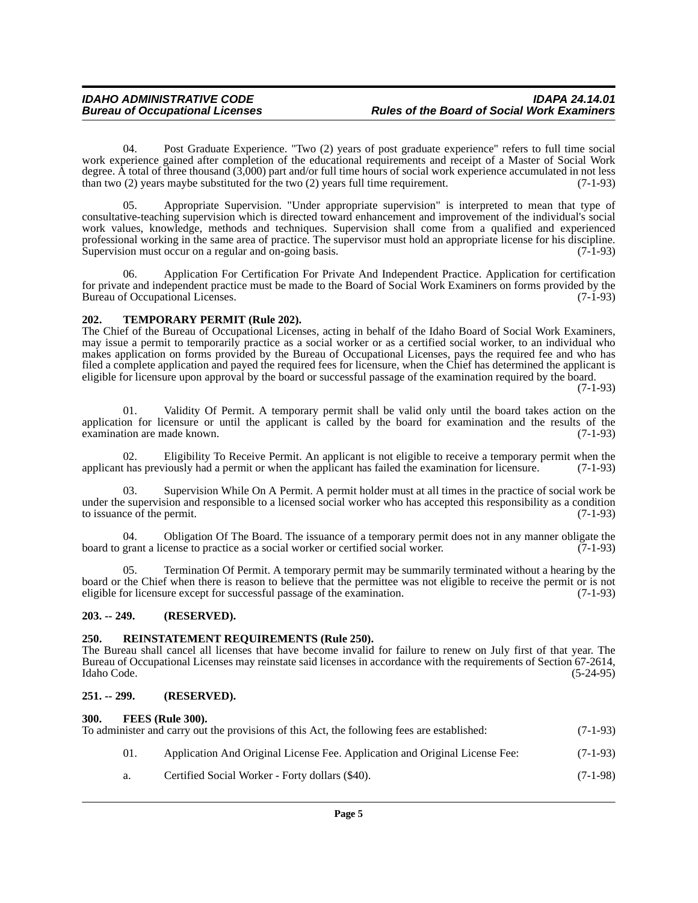04. Post Graduate Experience. "Two (2) years of post graduate experience" refers to full time social work experience gained after completion of the educational requirements and receipt of a Master of Social Work degree. A total of three thousand (3,000) part and/or full time hours of social work experience accumulated in not less than two  $(2)$  years maybe substituted for the two  $(2)$  years full time requirement.  $(7-1-93)$ 

05. Appropriate Supervision. "Under appropriate supervision" is interpreted to mean that type of consultative-teaching supervision which is directed toward enhancement and improvement of the individual's social work values, knowledge, methods and techniques. Supervision shall come from a qualified and experienced professional working in the same area of practice. The supervisor must hold an appropriate license for his discipline. Supervision must occur on a regular and on-going basis. (7-1-93)

06. Application For Certification For Private And Independent Practice. Application for certification for private and independent practice must be made to the Board of Social Work Examiners on forms provided by the Bureau of Occupational Licenses. (7-1-93)

#### <span id="page-4-0"></span>**202. TEMPORARY PERMIT (Rule 202).**

The Chief of the Bureau of Occupational Licenses, acting in behalf of the Idaho Board of Social Work Examiners, may issue a permit to temporarily practice as a social worker or as a certified social worker, to an individual who makes application on forms provided by the Bureau of Occupational Licenses, pays the required fee and who has filed a complete application and payed the required fees for licensure, when the Chief has determined the applicant is eligible for licensure upon approval by the board or successful passage of the examination required by the board.

(7-1-93)

01. Validity Of Permit. A temporary permit shall be valid only until the board takes action on the application for licensure or until the applicant is called by the board for examination and the results of the examination are made known.  $(7-1-93)$ examination are made known.

Eligibility To Receive Permit. An applicant is not eligible to receive a temporary permit when the applicant has previously had a permit or when the applicant has failed the examination for licensure. (7-1-93)

03. Supervision While On A Permit. A permit holder must at all times in the practice of social work be under the supervision and responsible to a licensed social worker who has accepted this responsibility as a condition to issuance of the permit. (7-1-93) to issuance of the permit.

04. Obligation Of The Board. The issuance of a temporary permit does not in any manner obligate the grant a license to practice as a social worker or certified social worker. (7-1-93) board to grant a license to practice as a social worker or certified social worker.

Termination Of Permit. A temporary permit may be summarily terminated without a hearing by the board or the Chief when there is reason to believe that the permittee was not eligible to receive the permit or is not eligible for licensure except for successful passage of the examination. (7-1-93) eligible for licensure except for successful passage of the examination.

#### <span id="page-4-1"></span>**203. -- 249. (RESERVED).**

#### <span id="page-4-2"></span>**250. REINSTATEMENT REQUIREMENTS (Rule 250).**

The Bureau shall cancel all licenses that have become invalid for failure to renew on July first of that year. The Bureau of Occupational Licenses may reinstate said licenses in accordance with the requirements of Section 67-2614, Idaho Code. (5-24-95)

#### <span id="page-4-3"></span>**251. -- 299. (RESERVED).**

#### <span id="page-4-4"></span>**300. FEES (Rule 300).**

| To administer and carry out the provisions of this Act, the following fees are established: |            |
|---------------------------------------------------------------------------------------------|------------|
| Application And Original License Fee. Application and Original License Fee:                 | $(7-1-93)$ |
| Certified Social Worker - Forty dollars (\$40).                                             | $(7-1-98)$ |
|                                                                                             |            |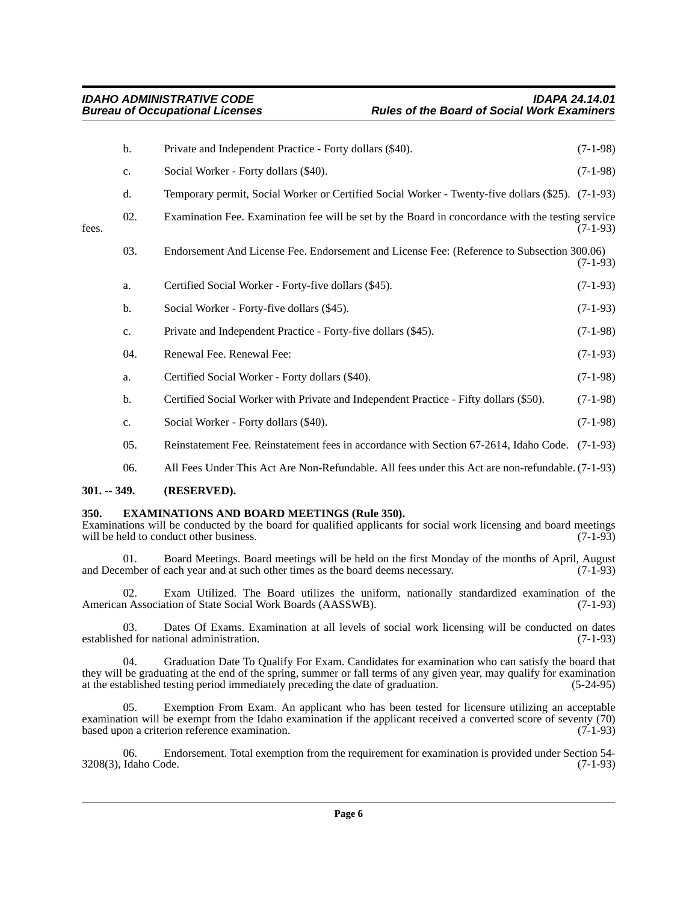| b.             | Private and Independent Practice - Forty dollars (\$40).                              | $(7-1-98)$                                                                                                                                                                                                                                                                                                                                                                                                                                                                                                 |
|----------------|---------------------------------------------------------------------------------------|------------------------------------------------------------------------------------------------------------------------------------------------------------------------------------------------------------------------------------------------------------------------------------------------------------------------------------------------------------------------------------------------------------------------------------------------------------------------------------------------------------|
| $\mathbf{c}$ . | Social Worker - Forty dollars (\$40).                                                 | $(7-1-98)$                                                                                                                                                                                                                                                                                                                                                                                                                                                                                                 |
| d.             |                                                                                       |                                                                                                                                                                                                                                                                                                                                                                                                                                                                                                            |
| 02.            |                                                                                       | $(7-1-93)$                                                                                                                                                                                                                                                                                                                                                                                                                                                                                                 |
| 03.            |                                                                                       | $(7-1-93)$                                                                                                                                                                                                                                                                                                                                                                                                                                                                                                 |
| a.             | Certified Social Worker - Forty-five dollars (\$45).                                  | $(7-1-93)$                                                                                                                                                                                                                                                                                                                                                                                                                                                                                                 |
| b.             | Social Worker - Forty-five dollars (\$45).                                            | $(7-1-93)$                                                                                                                                                                                                                                                                                                                                                                                                                                                                                                 |
| c.             | Private and Independent Practice - Forty-five dollars (\$45).                         | $(7-1-98)$                                                                                                                                                                                                                                                                                                                                                                                                                                                                                                 |
| 04.            | Renewal Fee. Renewal Fee:                                                             | $(7-1-93)$                                                                                                                                                                                                                                                                                                                                                                                                                                                                                                 |
| a.             | Certified Social Worker - Forty dollars (\$40).                                       | $(7-1-98)$                                                                                                                                                                                                                                                                                                                                                                                                                                                                                                 |
| b.             | Certified Social Worker with Private and Independent Practice - Fifty dollars (\$50). | $(7-1-98)$                                                                                                                                                                                                                                                                                                                                                                                                                                                                                                 |
| c.             | Social Worker - Forty dollars (\$40).                                                 | $(7-1-98)$                                                                                                                                                                                                                                                                                                                                                                                                                                                                                                 |
| 05.            |                                                                                       |                                                                                                                                                                                                                                                                                                                                                                                                                                                                                                            |
| 06.            |                                                                                       |                                                                                                                                                                                                                                                                                                                                                                                                                                                                                                            |
|                |                                                                                       | Temporary permit, Social Worker or Certified Social Worker - Twenty-five dollars (\$25). (7-1-93)<br>Examination Fee. Examination fee will be set by the Board in concordance with the testing service<br>Endorsement And License Fee. Endorsement and License Fee: (Reference to Subsection 300.06)<br>Reinstatement Fee. Reinstatement fees in accordance with Section 67-2614, Idaho Code. (7-1-93)<br>All Fees Under This Act Are Non-Refundable. All fees under this Act are non-refundable. (7-1-93) |

#### <span id="page-5-0"></span>**301. -- 349. (RESERVED).**

#### <span id="page-5-1"></span>**350. EXAMINATIONS AND BOARD MEETINGS (Rule 350).**

Examinations will be conducted by the board for qualified applicants for social work licensing and board meetings will be held to conduct other business. (7-1-93) will be held to conduct other business.

01. Board Meetings. Board meetings will be held on the first Monday of the months of April, August ember of each year and at such other times as the board deems necessary. (7-1-93) and December of each year and at such other times as the board deems necessary.

02. Exam Utilized. The Board utilizes the uniform, nationally standardized examination of the n Association of State Social Work Boards (AASSWB). (7-1-93) American Association of State Social Work Boards (AASSWB).

03. Dates Of Exams. Examination at all levels of social work licensing will be conducted on dates ed for national administration. (7-1-93) established for national administration.

04. Graduation Date To Qualify For Exam. Candidates for examination who can satisfy the board that they will be graduating at the end of the spring, summer or fall terms of any given year, may qualify for examination at the established testing period immediately preceding the date of graduation. (5-24-95) at the established testing period immediately preceding the date of graduation.

05. Exemption From Exam. An applicant who has been tested for licensure utilizing an acceptable examination will be exempt from the Idaho examination if the applicant received a converted score of seventy (70) based upon a criterion reference examination. (7-1-93) based upon a criterion reference examination.

06. Endorsement. Total exemption from the requirement for examination is provided under Section 54-<br>Idaho Code. (7-1-93) 3208(3), Idaho Code.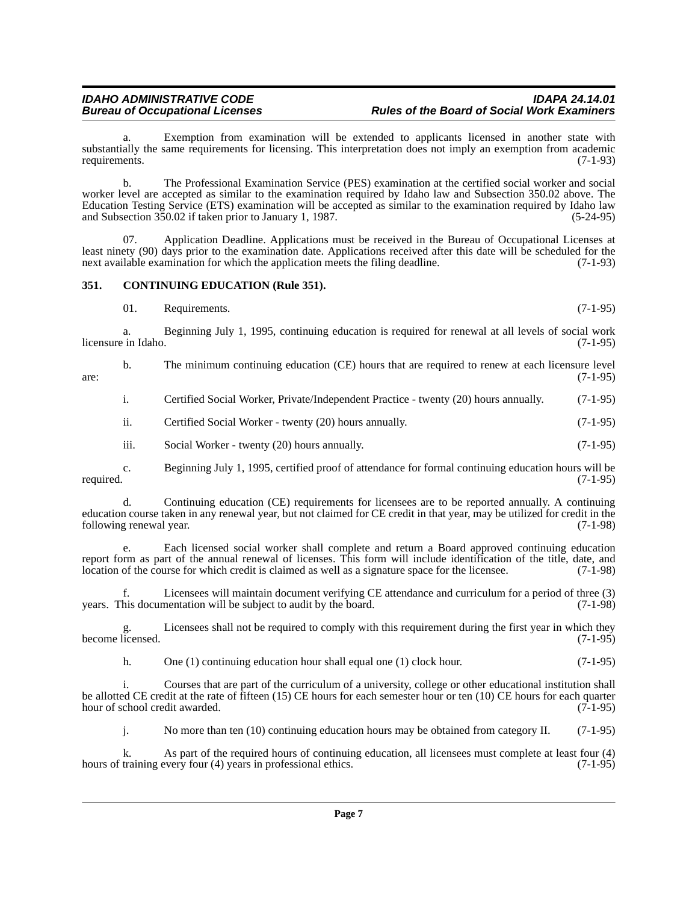Exemption from examination will be extended to applicants licensed in another state with substantially the same requirements for licensing. This interpretation does not imply an exemption from academic requirements. (7-1-93)

b. The Professional Examination Service (PES) examination at the certified social worker and social worker level are accepted as similar to the examination required by Idaho law and Subsection 350.02 above. The Education Testing Service (ETS) examination will be accepted as similar to the examination required by Idaho law and Subsection 350.02 if taken prior to January 1, 1987. (5-24-95)

07. Application Deadline. Applications must be received in the Bureau of Occupational Licenses at least ninety (90) days prior to the examination date. Applications received after this date will be scheduled for the next available examination for which the application meets the filing deadline. (7-1-93) next available examination for which the application meets the filing deadline.

#### <span id="page-6-0"></span>**351. CONTINUING EDUCATION (Rule 351).**

| - 01. | Requirements. | $(7-1-95)$ |  |
|-------|---------------|------------|--|
|       |               |            |  |

a. Beginning July 1, 1995, continuing education is required for renewal at all levels of social work licensure in Idaho. (7-1-95)

b. The minimum continuing education (CE) hours that are required to renew at each licensure level (7-1-95)  $\frac{1}{2}$  are: (7-1-95)

i. Certified Social Worker, Private/Independent Practice - twenty (20) hours annually. (7-1-95)

ii. Certified Social Worker - twenty (20) hours annually. (7-1-95)

iii. Social Worker - twenty (20) hours annually. (7-1-95)

c. Beginning July 1, 1995, certified proof of attendance for formal continuing education hours will be required. (7-1-95)

d. Continuing education (CE) requirements for licensees are to be reported annually. A continuing education course taken in any renewal year, but not claimed for CE credit in that year, may be utilized for credit in the following renewal year.

e. Each licensed social worker shall complete and return a Board approved continuing education report form as part of the annual renewal of licenses. This form will include identification of the title, date, and location of the course for which credit is claimed as well as a signature space for the licensee. (7-1-98)

f. Licensees will maintain document verifying CE attendance and curriculum for a period of three (3) years. This documentation will be subject to audit by the board.

g. Licensees shall not be required to comply with this requirement during the first year in which they become licensed.

h. One (1) continuing education hour shall equal one (1) clock hour. (7-1-95)

i. Courses that are part of the curriculum of a university, college or other educational institution shall be allotted CE credit at the rate of fifteen (15) CE hours for each semester hour or ten (10) CE hours for each quarter hour of school credit awarded. (7-1-95) hour of school credit awarded.

j. No more than ten (10) continuing education hours may be obtained from category II. (7-1-95)

k. As part of the required hours of continuing education, all licensees must complete at least four (4) training every four (4) years in professional ethics. (7-1-95) hours of training every four (4) years in professional ethics.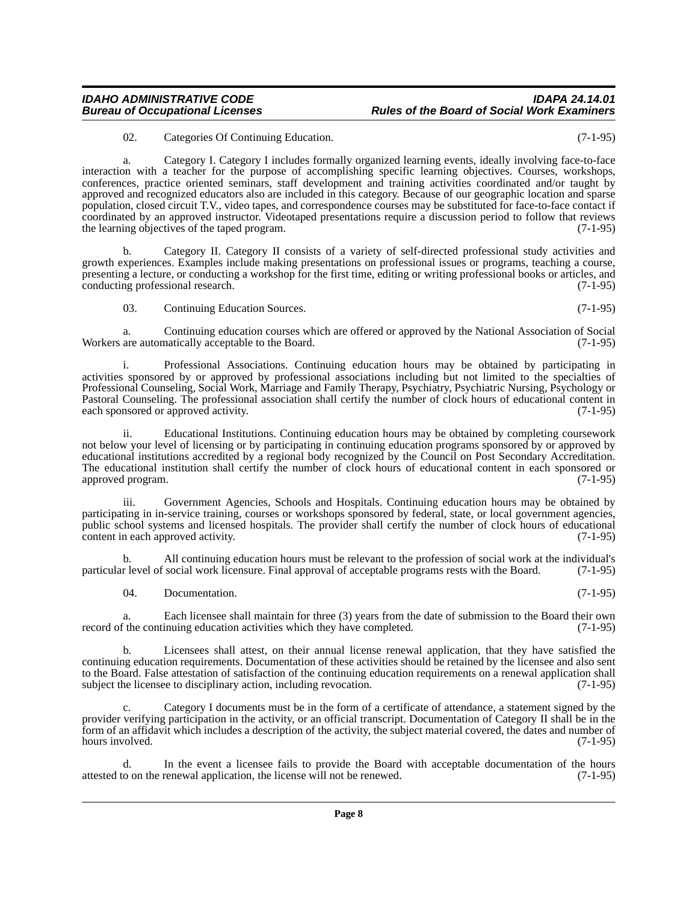### *IDAHO ADMINISTRATIVE CODE IDAPA 24.14.01 Rules of the Board of Social Work Examiners*

02. Categories Of Continuing Education. (7-1-95)

a. Category I. Category I includes formally organized learning events, ideally involving face-to-face interaction with a teacher for the purpose of accomplishing specific learning objectives. Courses, workshops, conferences, practice oriented seminars, staff development and training activities coordinated and/or taught by approved and recognized educators also are included in this category. Because of our geographic location and sparse population, closed circuit T.V., video tapes, and correspondence courses may be substituted for face-to-face contact if coordinated by an approved instructor. Videotaped presentations require a discussion period to follow that reviews the learning objectives of the taped program. (7-1-95)

b. Category II. Category II consists of a variety of self-directed professional study activities and growth experiences. Examples include making presentations on professional issues or programs, teaching a course, presenting a lecture, or conducting a workshop for the first time, editing or writing professional books or articles, and conducting professional research. (7-1-95) conducting professional research.

03. Continuing Education Sources. (7-1-95)

a. Continuing education courses which are offered or approved by the National Association of Social Workers are automatically acceptable to the Board. (7-1-95)

i. Professional Associations. Continuing education hours may be obtained by participating in activities sponsored by or approved by professional associations including but not limited to the specialties of Professional Counseling, Social Work, Marriage and Family Therapy, Psychiatry, Psychiatric Nursing, Psychology or Pastoral Counseling. The professional association shall certify the number of clock hours of educational content in each sponsored or approved activity. (7-1-95)

ii. Educational Institutions. Continuing education hours may be obtained by completing coursework not below your level of licensing or by participating in continuing education programs sponsored by or approved by educational institutions accredited by a regional body recognized by the Council on Post Secondary Accreditation. The educational institution shall certify the number of clock hours of educational content in each sponsored or approved program. (7-1-95) approved program.

Government Agencies, Schools and Hospitals. Continuing education hours may be obtained by participating in in-service training, courses or workshops sponsored by federal, state, or local government agencies, public school systems and licensed hospitals. The provider shall certify the number of clock hours of educational content in each approved activity. (7-1-95) content in each approved activity.

b. All continuing education hours must be relevant to the profession of social work at the individual's particular level of social work licensure. Final approval of acceptable programs rests with the Board. (7-1-95)

04. Documentation. (7-1-95)

a. Each licensee shall maintain for three (3) years from the date of submission to the Board their own f the continuing education activities which they have completed. (7-1-95) record of the continuing education activities which they have completed.

b. Licensees shall attest, on their annual license renewal application, that they have satisfied the continuing education requirements. Documentation of these activities should be retained by the licensee and also sent to the Board. False attestation of satisfaction of the continuing education requirements on a renewal application shall subject the licensee to disciplinary action, including revocation. (7-1-95)

c. Category I documents must be in the form of a certificate of attendance, a statement signed by the provider verifying participation in the activity, or an official transcript. Documentation of Category II shall be in the form of an affidavit which includes a description of the activity, the subject material covered, the dates and number of hours involved. (7-1-95)

In the event a licensee fails to provide the Board with acceptable documentation of the hours renewal application, the license will not be renewed.  $(7-1-95)$ attested to on the renewal application, the license will not be renewed.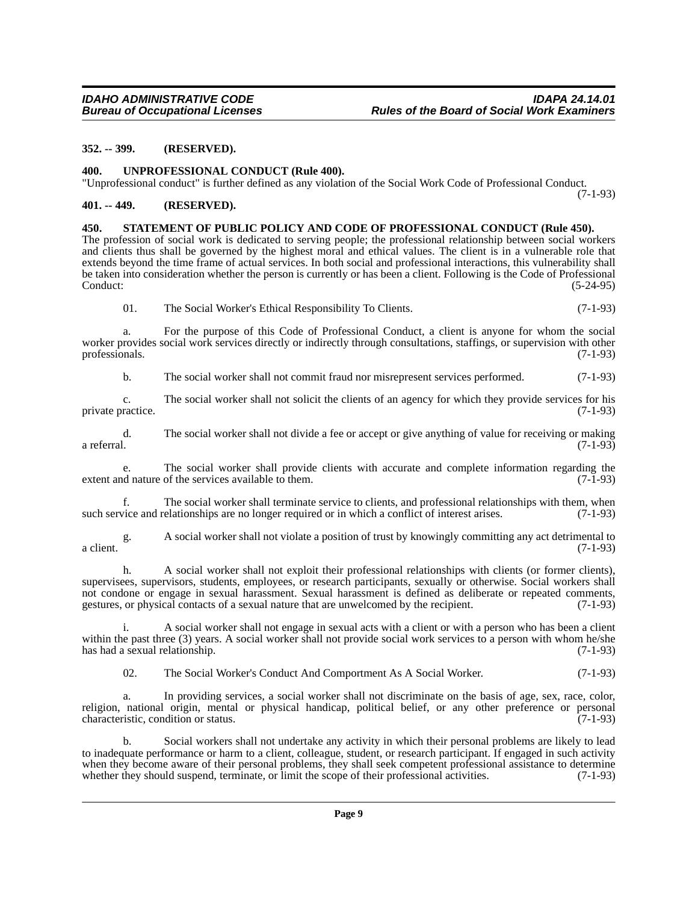#### <span id="page-8-0"></span>**352. -- 399. (RESERVED).**

<span id="page-8-1"></span>**400. UNPROFESSIONAL CONDUCT (Rule 400).**

"Unprofessional conduct" is further defined as any violation of the Social Work Code of Professional Conduct. (7-1-93)

#### <span id="page-8-2"></span>**401. -- 449. (RESERVED).**

#### <span id="page-8-3"></span>**450. STATEMENT OF PUBLIC POLICY AND CODE OF PROFESSIONAL CONDUCT (Rule 450).**

The profession of social work is dedicated to serving people; the professional relationship between social workers and clients thus shall be governed by the highest moral and ethical values. The client is in a vulnerable role that extends beyond the time frame of actual services. In both social and professional interactions, this vulnerability shall be taken into consideration whether the person is currently or has been a client. Following is the Code of Professional Conduct: (5-24-95)

01. The Social Worker's Ethical Responsibility To Clients. (7-1-93)

a. For the purpose of this Code of Professional Conduct, a client is anyone for whom the social worker provides social work services directly or indirectly through consultations, staffings, or supervision with other professionals. (7-1-93) professionals. (7-1-93)

b. The social worker shall not commit fraud nor misrepresent services performed. (7-1-93)

c. The social worker shall not solicit the clients of an agency for which they provide services for his private practice. (7-1-93)

d. The social worker shall not divide a fee or accept or give anything of value for receiving or making a referral. (7-1-93)

e. The social worker shall provide clients with accurate and complete information regarding the dependent of the services available to them. (7-1-93) extent and nature of the services available to them.

f. The social worker shall terminate service to clients, and professional relationships with them, when such service and relationships are no longer required or in which a conflict of interest arises. (7-1-93)

g. A social worker shall not violate a position of trust by knowingly committing any act detrimental to a client.  $(7-1-93)$ 

h. A social worker shall not exploit their professional relationships with clients (or former clients), supervisees, supervisors, students, employees, or research participants, sexually or otherwise. Social workers shall not condone or engage in sexual harassment. Sexual harassment is defined as deliberate or repeated comments, gestures, or physical contacts of a sexual nature that are unwelcomed by the recipient. (7-1-93)

i. A social worker shall not engage in sexual acts with a client or with a person who has been a client within the past three (3) years. A social worker shall not provide social work services to a person with whom he/she has had a sexual relationship.  $(7-1-93)$ has had a sexual relationship.

02. The Social Worker's Conduct And Comportment As A Social Worker. (7-1-93)

In providing services, a social worker shall not discriminate on the basis of age, sex, race, color, religion, national origin, mental or physical handicap, political belief, or any other preference or personal characteristic, condition or status. (7-1-93)

b. Social workers shall not undertake any activity in which their personal problems are likely to lead to inadequate performance or harm to a client, colleague, student, or research participant. If engaged in such activity when they become aware of their personal problems, they shall seek competent professional assistance to determine<br>whether they should suspend, terminate, or limit the scope of their professional activities. (7-1-93) whether they should suspend, terminate, or limit the scope of their professional activities.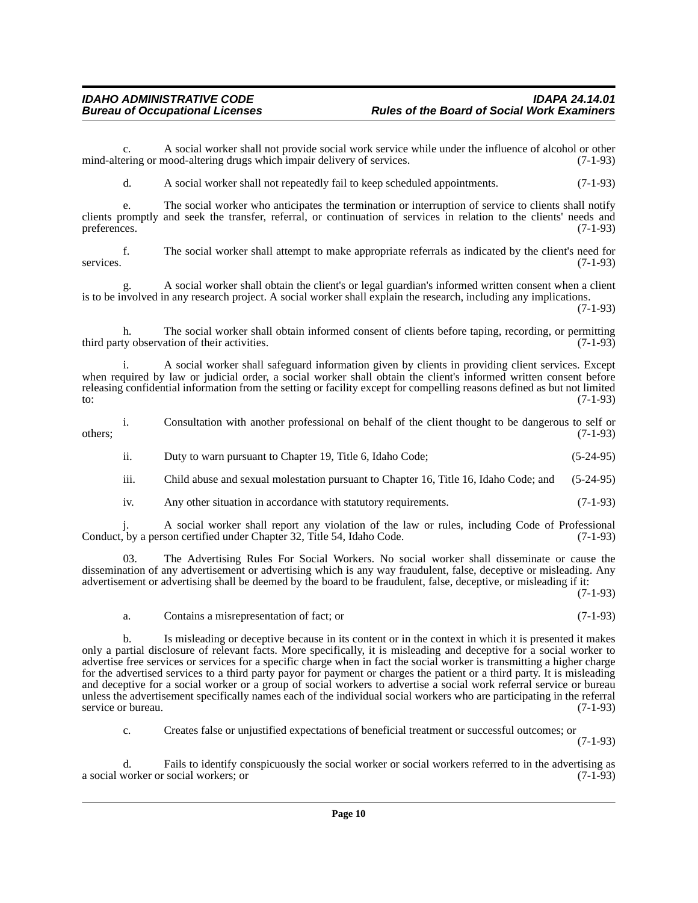c. A social worker shall not provide social work service while under the influence of alcohol or other ering or mood-altering drugs which impair delivery of services. (7-1-93) mind-altering or mood-altering drugs which impair delivery of services.

d. A social worker shall not repeatedly fail to keep scheduled appointments. (7-1-93)

e. The social worker who anticipates the termination or interruption of service to clients shall notify clients promptly and seek the transfer, referral, or continuation of services in relation to the clients' needs and preferences. (7-1-93)

f. The social worker shall attempt to make appropriate referrals as indicated by the client's need for services. (7-1-93)

g. A social worker shall obtain the client's or legal guardian's informed written consent when a client is to be involved in any research project. A social worker shall explain the research, including any implications.

(7-1-93)

h. The social worker shall obtain informed consent of clients before taping, recording, or permitting third party observation of their activities. (7-1-93)

i. A social worker shall safeguard information given by clients in providing client services. Except when required by law or judicial order, a social worker shall obtain the client's informed written consent before releasing confidential information from the setting or facility except for compelling reasons defined as but not limited to:  $(7-1-93)$ 

i. Consultation with another professional on behalf of the client thought to be dangerous to self or  $\omega$  others;  $(7-1-93)$ 

ii. Duty to warn pursuant to Chapter 19, Title 6, Idaho Code; (5-24-95)

iii. Child abuse and sexual molestation pursuant to Chapter 16, Title 16, Idaho Code; and (5-24-95)

iv. Any other situation in accordance with statutory requirements. (7-1-93)

j. A social worker shall report any violation of the law or rules, including Code of Professional Conduct, by a person certified under Chapter 32, Title 54, Idaho Code.

03. The Advertising Rules For Social Workers. No social worker shall disseminate or cause the dissemination of any advertisement or advertising which is any way fraudulent, false, deceptive or misleading. Any advertisement or advertising shall be deemed by the board to be fraudulent, false, deceptive, or misleading if it:

(7-1-93)

a. Contains a misrepresentation of fact; or (7-1-93)

b. Is misleading or deceptive because in its content or in the context in which it is presented it makes only a partial disclosure of relevant facts. More specifically, it is misleading and deceptive for a social worker to advertise free services or services for a specific charge when in fact the social worker is transmitting a higher charge for the advertised services to a third party payor for payment or charges the patient or a third party. It is misleading and deceptive for a social worker or a group of social workers to advertise a social work referral service or bureau unless the advertisement specifically names each of the individual social workers who are participating in the referral service or bureau. (7-1-93) service or bureau.

c. Creates false or unjustified expectations of beneficial treatment or successful outcomes; or

(7-1-93)

d. Fails to identify conspicuously the social worker or social workers referred to in the advertising as a social worker or social workers; or